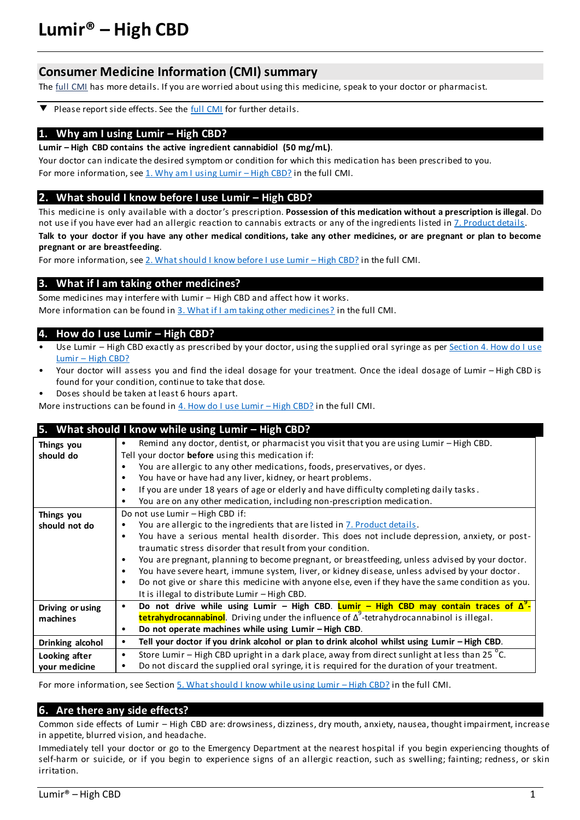# **Lumir® – High CBD**

# **Consumer Medicine Information (CMI) summary**

The **full CMI** has more details. If you are worried about using this medicine, speak to your doctor or pharmacist.

Please report side effects. See th[e full CMI](#page-2-1) for further details. ▼

#### 1. Why am I using Lumir – High CBD?

**Lumir – High CBD contains the active ingredient cannabidiol (50 mg/mL)**.

Your doctor can indicate the desired symptom or condition for which this medication has been prescribed to you. For more information, see 1. Why am I using Lumir - High CBD? in the full CMI.

## **2.** What should I know before I use Lumir – High CBD?

This medicine is only available with a doctor's prescription. **Possession of this medication without a prescription is illegal**. Do not use if you have ever had an allergic reaction to cannabis extracts or any of the ingredients listed [in 7. Product detai](#page-5-0)ls.

**Talk to your doctor if you have any other medical conditions, take any other medicines, or are pregnant or plan to become pregnant or are breastfeeding**.

For more information, se[e 2. What should I know before I use Lumir](#page-2-2) - High CBD? in the full CMI.

## **3. What if I am taking other medicines?**

Some medicines may interfere with Lumir – High CBD and affect how it works. More information can be found i[n 3. What if I am taking other medicines?](#page-3-0) in the full CMI.

### **4. How do I use Lumir – High CBD?**

- Use Lumir High CBD exactly as prescribed by your doctor, using the supplied oral syringe as per Section 4. How do I use Lumir – [High CBD?](#page-3-1)
- Your doctor will assess you and find the ideal dosage for your treatment. Once the ideal dosage of Lumir High CBD is found for your condition, continue to take that dose.
- Doses should be taken at least 6 hours apart.

More instructions can be found i[n 4. How do I use Lumir](#page-3-1) – High CBD? in the full CMI.

| 5. What should I know while using Lumir - High CBD? |                                                                                                              |  |  |  |
|-----------------------------------------------------|--------------------------------------------------------------------------------------------------------------|--|--|--|
| Things you                                          | Remind any doctor, dentist, or pharmacist you visit that you are using Lumir - High CBD.                     |  |  |  |
| should do                                           | Tell your doctor before using this medication if:                                                            |  |  |  |
|                                                     | You are allergic to any other medications, foods, preservatives, or dyes.                                    |  |  |  |
|                                                     | You have or have had any liver, kidney, or heart problems.<br>٠                                              |  |  |  |
|                                                     | If you are under 18 years of age or elderly and have difficulty completing daily tasks.<br>٠                 |  |  |  |
|                                                     | You are on any other medication, including non-prescription medication.<br>٠                                 |  |  |  |
| Things you                                          | Do not use Lumir - High CBD if:                                                                              |  |  |  |
| should not do                                       | You are allergic to the ingredients that are listed in 7. Product details.<br>٠                              |  |  |  |
|                                                     | You have a serious mental health disorder. This does not include depression, anxiety, or post-<br>$\bullet$  |  |  |  |
|                                                     | traumatic stress disorder that result from your condition.                                                   |  |  |  |
|                                                     | You are pregnant, planning to become pregnant, or breastfeeding, unless advised by your doctor.<br>$\bullet$ |  |  |  |
|                                                     | You have severe heart, immune system, liver, or kidney disease, unless advised by your doctor.<br>٠          |  |  |  |
|                                                     | Do not give or share this medicine with anyone else, even if they have the same condition as you.<br>٠       |  |  |  |
|                                                     | It is illegal to distribute Lumir - High CBD.                                                                |  |  |  |
| Driving or using                                    | Do not drive while using Lumir - High CBD. Lumir - High CBD may contain traces of $\Delta^9$ -<br>$\bullet$  |  |  |  |
| machines                                            | <b>tetrahydrocannabinol</b> . Driving under the influence of $\Delta^9$ -tetrahydrocannabinol is illegal.    |  |  |  |
|                                                     | Do not operate machines while using Lumir - High CBD.<br>٠                                                   |  |  |  |
| Drinking alcohol                                    | Tell your doctor if you drink alcohol or plan to drink alcohol whilst using Lumir - High CBD.<br>٠           |  |  |  |
| Looking after                                       | Store Lumir - High CBD upright in a dark place, away from direct sunlight at less than 25 °C.<br>٠           |  |  |  |
| your medicine                                       | Do not discard the supplied oral syringe, it is required for the duration of your treatment.<br>٠            |  |  |  |

For more information, see Sectio[n 5. What should I know while using Lumir](#page-4-0) - High CBD? in the full CMI.

## **6. Are there any side effects?**

Common side effects of Lumir – High CBD are: drowsiness, dizziness, dry mouth, anxiety, nausea, thought impairment, increase in appetite, blurred vision, and headache.

Immediately tell your doctor or go to the Emergency Department at the nearest hospital if you begin experiencing thoughts of self-harm or suicide, or if you begin to experience signs of an allergic reaction, such as swelling; fainting; redness, or skin irritation.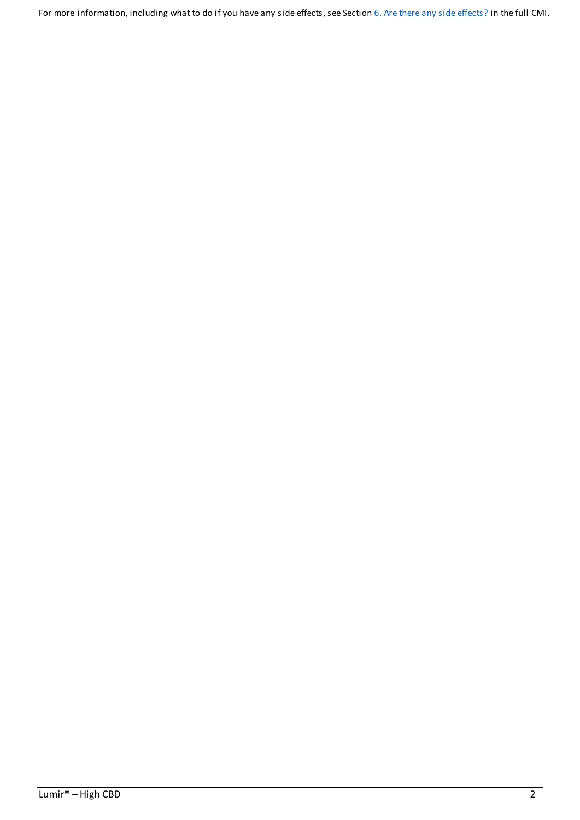For more information, including what to do if you have any side effects, see Sectio[n 6. Are there any side effects?](#page-4-1) in the full CMI.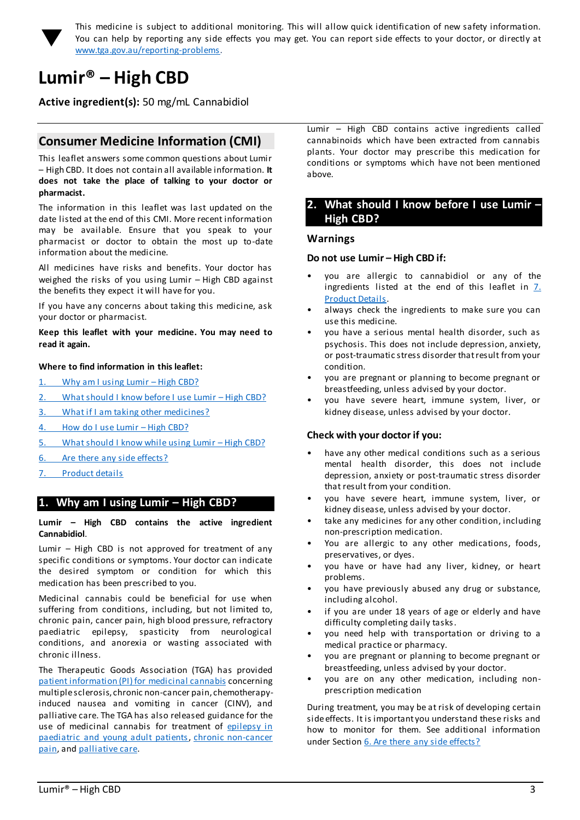<span id="page-2-0"></span>

This medicine is subject to additional monitoring. This will allow quick identification of new safety information. You can help by reporting any side effects you may get. You can report side effects to your doctor, or directly at [www.tga.gov.au/reporting-problems.](http://www.tga.gov.au/reporting-problems)

# <span id="page-2-1"></span>**Lumir® – High CBD**

**Active ingredient(s):** 50 mg/mL Cannabidiol

# **Consumer Medicine Information (CMI)**

This leaflet answers some common questions about Lumir – High CBD. It does not contain all available information. **It does not take the place of talking to your doctor or pharmacist.**

The information in this leaflet was last updated on the date listed at the end of this CMI. More recent information may be available. Ensure that you speak to your pharmacist or doctor to obtain the most up to-date information about the medicine.

All medicines have risks and benefits. Your doctor has weighed the risks of you using Lumir – High CBD against the benefits they expect it will have for you.

If you have any concerns about taking this medicine, ask your doctor or pharmacist.

**Keep this leaflet with your medicine. You may need to read it again.**

#### **Where to find information in this leaflet:**

- 1. [Why am I using Lumir](#page-2-3)  High CBD?
- 2. [What should I know before I use Lumir](#page-2-2)  High CBD?
- 3. [What if I am taking other medicines?](#page-3-0)
- 4. [How do I use Lumir](#page-3-1)  High CBD?
- 5. [What should I know while using Lumir](#page-4-0)  High CBD?
- 6. [Are there any side effects?](#page-4-1)
- 7. [Product details](#page-5-0)

## <span id="page-2-3"></span>**1. Why am I using Lumir – High CBD?**

**Lumir – High CBD contains the active ingredient Cannabidiol**.

Lumir – High CBD is not approved for treatment of any specific conditions or symptoms. Your doctor can indicate the desired symptom or condition for which this medication has been prescribed to you.

Medicinal cannabis could be beneficial for use when suffering from conditions, including, but not limited to, chronic pain, cancer pain, high blood pressure, refractory paediatric epilepsy, spasticity from neurological conditions, and anorexia or wasting associated with chronic illness.

The Therapeutic Goods Association (TGA) has provided [patient information \(PI\) for medicinal cannabis](https://www.tga.gov.au/community-qa/medicinal-cannabis-products-patient-information) concerning multiple sclerosis, chronic non-cancer pain, chemotherapyinduced nausea and vomiting in cancer (CINV), and palliative care. The TGA has also released guidance for the use of medicinal cannabis for treatment of epilepsy in [paediatric and young adult patients,](https://www.tga.gov.au/publication/guidance-use-medicinal-cannabis-treatment-epilepsy-paediatric-and-young-adult-patients-australia) [chronic non-cancer](https://www.tga.gov.au/publication/guidance-use-medicinal-cannabis-treatment-chronic-non-cancer-pain-australia)  [pain,](https://www.tga.gov.au/publication/guidance-use-medicinal-cannabis-treatment-chronic-non-cancer-pain-australia) an[d palliative care](https://www.tga.gov.au/publication/guidance-use-medicinal-cannabis-treatment-palliative-care-patients-australia).

Lumir – High CBD contains active ingredients called cannabinoids which have been extracted from cannabis plants. Your doctor may prescribe this medication for conditions or symptoms which have not been mentioned above.

## <span id="page-2-2"></span>**2. What should I know before I use Lumir – High CBD?**

#### **Warnings**

#### **Do not use Lumir – High CBD if:**

- you are allergic to cannabidiol or any of the ingredients listed at the end of this leaflet in [7.](#page-5-0)  [Product Details.](#page-5-0)
- always check the ingredients to make sure you can use this medicine.
- you have a serious mental health disorder, such as psychosis. This does not include depression, anxiety, or post-traumatic stress disorder that result from your condition.
- you are pregnant or planning to become pregnant or breastfeeding, unless advised by your doctor.
- you have severe heart, immune system, liver, or kidney disease, unless advised by your doctor.

#### **Check with your doctor if you:**

- have any other medical conditions such as a serious mental health disorder, this does not include depression, anxiety or post-traumatic stress disorder that result from your condition.
- you have severe heart, immune system, liver, or kidney disease, unless advised by your doctor.
- take any medicines for any other condition, including non-prescription medication.
- You are allergic to any other medications, foods, preservatives, or dyes.
- you have or have had any liver, kidney, or heart problems.
- you have previously abused any drug or substance, including alcohol.
- if you are under 18 years of age or elderly and have difficulty completing daily tasks.
- you need help with transportation or driving to a medical practice or pharmacy.
- you are pregnant or planning to become pregnant or breastfeeding, unless advised by your doctor.
- you are on any other medication, including nonprescription medication

During treatment, you may be at risk of developing certain side effects. It is important you understand these risks and how to monitor for them. See additional information under Section 6. Are there any side effects?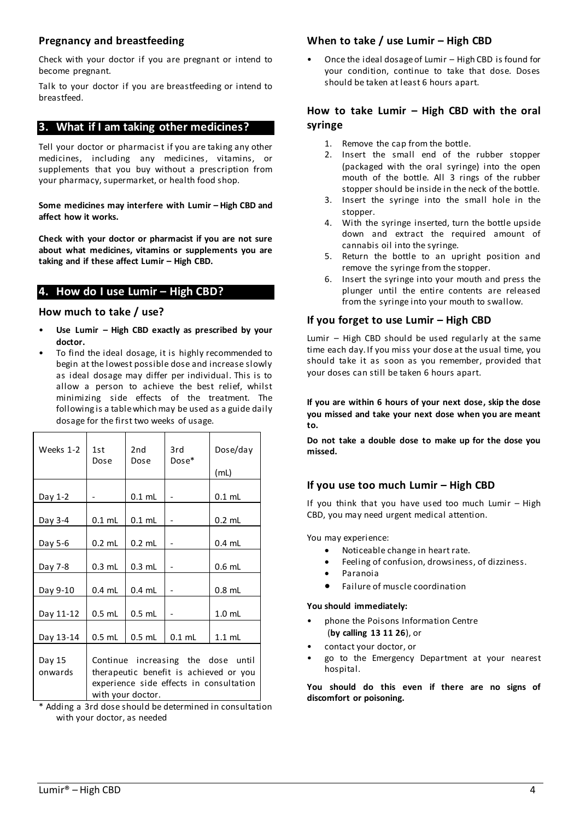# **Pregnancy and breastfeeding**

Check with your doctor if you are pregnant or intend to become pregnant.

Talk to your doctor if you are breastfeeding or intend to breastfeed.

# <span id="page-3-0"></span>**3. What if I am taking other medicines?**

Tell your doctor or pharmacist if you are taking any other medicines, including any medicines, vitamins, or supplements that you buy without a prescription from your pharmacy, supermarket, or health food shop.

**Some medicines may interfere with Lumir – High CBD and affect how it works.** 

**Check with your doctor or pharmacist if you are not sure about what medicines, vitamins or supplements you are taking and if these affect Lumir – High CBD.**

# <span id="page-3-1"></span>**4.** How do I use Lumir - High CBD?

# **How much to take / use?**

- **Use Lumir – High CBD exactly as prescribed by your doctor.**
- To find the ideal dosage, it is highly recommended to begin at the lowest possible dose and increase slowly as ideal dosage may differ per individual. This is to allow a person to achieve the best relief, whilst minimizing side effects of the treatment. The following is a table which may be used as a guide daily dosage for the first two weeks of usage.

| Weeks 1-2         | 1st<br>Dose                                                                                                             | 2nd<br>Dose       | 3rd<br>Dose* | Dose/day          |
|-------------------|-------------------------------------------------------------------------------------------------------------------------|-------------------|--------------|-------------------|
|                   |                                                                                                                         |                   |              | (mL)              |
| Day 1-2           |                                                                                                                         | $0.1$ mL          |              | $0.1$ mL          |
| Day 3-4           | $0.1$ mL                                                                                                                | $0.1$ mL          |              | $0.2$ mL          |
| Day 5-6           | $0.2$ mL                                                                                                                | $0.2 \text{ ml}$  |              | $0.4$ mL          |
| Day 7-8           | $0.3$ mL                                                                                                                | $0.3$ mL          |              | $0.6$ mL          |
| Day 9-10          | $0.4$ mL                                                                                                                | $0.4$ mL          |              | $0.8$ mL          |
| Day 11-12         | $0.5$ mL                                                                                                                | $0.5$ mL          |              | 1.0 <sub>mL</sub> |
| Day 13-14         | $0.5$ mL                                                                                                                | $0.5$ mL          | $0.1$ mL     | $1.1$ mL          |
| Day 15<br>onwards | Continue increasing the dose until<br>therapeutic benefit is achieved or you<br>experience side effects in consultation |                   |              |                   |
|                   |                                                                                                                         | with your doctor. |              |                   |

\* Adding a 3rd dose should be determined in consultation with your doctor, as needed

# **When to take / use Lumir – High CBD**

• Once the ideal dosage of Lumir – High CBD is found for your condition, continue to take that dose. Doses should be taken at least 6 hours apart.

# **How to take Lumir – High CBD with the oral syringe**

- 1. Remove the cap from the bottle.
- 2. Insert the small end of the rubber stopper (packaged with the oral syringe) into the open mouth of the bottle. All 3 rings of the rubber stopper should be inside in the neck of the bottle.
- 3. Insert the syringe into the small hole in the stopper.
- 4. With the syringe inserted, turn the bottle upside down and extract the required amount of cannabis oil into the syringe.
- 5. Return the bottle to an upright position and remove the syringe from the stopper.
- 6. Insert the syringe into your mouth and press the plunger until the entire contents are released from the syringe into your mouth to swallow.

# **If you forget to use Lumir – High CBD**

Lumir – High CBD should be used regularly at the same time each day. If you miss your dose at the usual time, you should take it as soon as you remember, provided that your doses can still be taken 6 hours apart.

**If you are within 6 hours of your next dose, skip the dose you missed and take your next dose when you are meant to.**

**Do not take a double dose to make up for the dose you missed.** 

# **If you use too much Lumir – High CBD**

If you think that you have used too much Lumir – High CBD, you may need urgent medical attention.

You may experience:

- Noticeable change in heart rate.
- Feeling of confusion, drowsiness, of dizziness.
- Paranoia
- Failure of muscle coordination

# **You should immediately:**

- phone the Poisons Information Centre (**by calling 13 11 26**), or
- contact your doctor, or
- go to the Emergency Department at your nearest hospital.

**You should do this even if there are no signs of discomfort or poisoning.**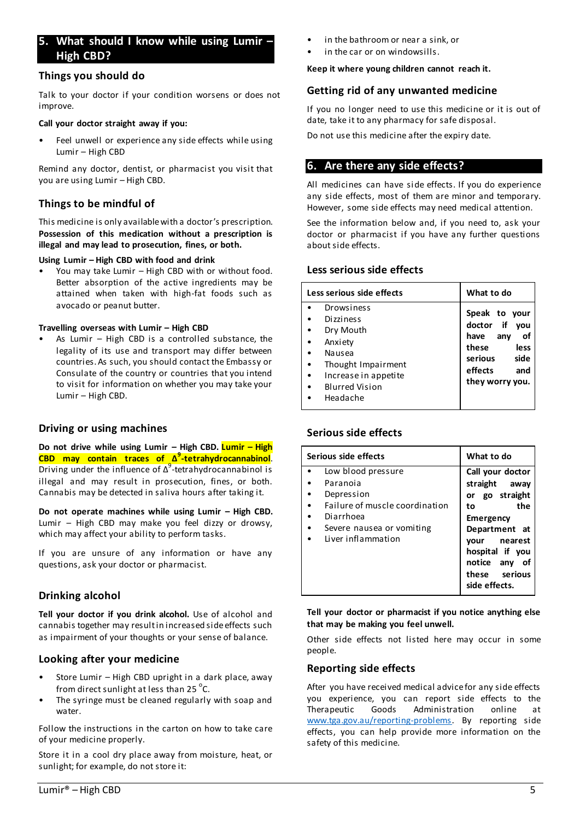# <span id="page-4-0"></span>**5. What should I know while using Lumir – High CBD?**

## **Things you should do**

Talk to your doctor if your condition worsens or does not improve.

#### **Call your doctor straight away if you:**

Feel unwell or experience any side effects while using Lumir – High CBD

Remind any doctor, dentist, or pharmacist you visit that you are using Lumir – High CBD.

# **Things to be mindful of**

This medicine is only available with a doctor's prescription. **Possession of this medication without a prescription is illegal and may lead to prosecution, fines, or both.**

#### **Using Lumir – High CBD with food and drink**

• You may take Lumir – High CBD with or without food. Better absorption of the active ingredients may be attained when taken with high-fat foods such as avocado or peanut butter.

#### **Travelling overseas with Lumir – High CBD**

As Lumir  $-$  High CBD is a controlled substance, the legality of its use and transport may differ between countries. As such, you should contact the Embassy or Consulate of the country or countries that you intend to visit for information on whether you may take your Lumir – High CBD.

## **Driving or using machines**

**Do not drive while using Lumir – High CBD. Lumir – High CBD may contain traces of Δ 9 -tetrahydrocannabinol**. Driving under the influence of  $\Delta^9$ -tetrahydrocannabinol is illegal and may result in prosecution, fines, or both. Cannabis may be detected in saliva hours after taking it.

**Do not operate machines while using Lumir – High CBD.** Lumir – High CBD may make you feel dizzy or drowsy, which may affect your ability to perform tasks.

If you are unsure of any information or have any questions, ask your doctor or pharmacist.

# **Drinking alcohol**

**Tell your doctor if you drink alcohol.** Use of alcohol and cannabis together may result in increased side effects such as impairment of your thoughts or your sense of balance.

## **Looking after your medicine**

- Store Lumir High CBD upright in a dark place, away from direct sunlight at less than  $25^{\circ}$ C.
- The syringe must be cleaned regularly with soap and water.

Follow the instructions in the carton on how to take care of your medicine properly.

Store it in a cool dry place away from moisture, heat, or sunlight; for example, do not store it:

- in the bathroom or near a sink, or
- in the car or on windowsills.

#### **Keep it where young children cannot reach it.**

#### **Getting rid of any unwanted medicine**

If you no longer need to use this medicine or it is out of date, take it to any pharmacy for safe disposal.

Do not use this medicine after the expiry date.

# <span id="page-4-1"></span>**6. Are there any side effects?**

All medicines can have side effects. If you do experience any side effects, most of them are minor and temporary. However, some side effects may need medical attention.

See the information below and, if you need to, ask your doctor or pharmacist if you have any further questions about side effects.

# **Less serious side effects**

| Less serious side effects                                                                                                                           | What to do                                                                                                                      |  |
|-----------------------------------------------------------------------------------------------------------------------------------------------------|---------------------------------------------------------------------------------------------------------------------------------|--|
| Drowsiness<br><b>Dizziness</b><br>Dry Mouth<br>Anxiety<br>Nausea<br>Thought Impairment<br>Increase in appetite<br><b>Blurred Vision</b><br>Headache | Speak to your<br>doctor if<br>vou<br>any<br>have<br>οf<br>these<br>less<br>serious<br>side<br>effects<br>and<br>they worry you. |  |

## **Serious side effects**

| Serious side effects                                                                                                                           | What to do                                                                                                                           |
|------------------------------------------------------------------------------------------------------------------------------------------------|--------------------------------------------------------------------------------------------------------------------------------------|
| Low blood pressure<br>Paranoia<br>Depression<br>Failure of muscle coordination<br>Diarrhoea<br>Severe nausea or vomiting<br>Liver inflammation | Call your doctor<br>straight away<br>or go straight<br>the<br>to<br>Emergency<br>Department at<br>nearest<br>vour<br>hospital if you |
|                                                                                                                                                | notice any<br>of                                                                                                                     |
|                                                                                                                                                | these serious<br>side effects.                                                                                                       |

**Tell your doctor or pharmacist if you notice anything else that may be making you feel unwell.**

Other side effects not listed here may occur in some people.

#### **Reporting side effects**

After you have received medical advice for any side effects you experience, you can report side effects to the Therapeutic Goods Administration online at [www.tga.gov.au/reporting-problems.](http://www.tga.gov.au/reporting-problems) By reporting side effects, you can help provide more information on the safety of this medicine.